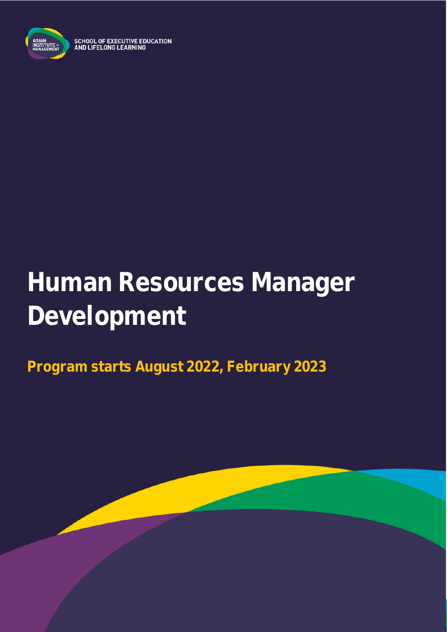

SCHOOL OF EXECUTIVE EDUCATION<br>AND LIFELONG LEARNING

# **Human Resources Manager Development**

**Program starts August 2022, February 2023**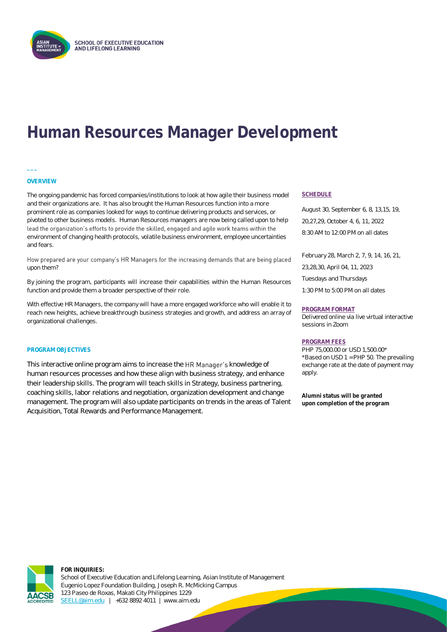

## **Human Resources Manager Development**



**\_\_\_**

The ongoing pandemic has forced companies/institutions to look at how agile their business model and their organizations are. It has also brought the Human Resources function into a more prominent role as companies looked for ways to continue delivering products and services, or pivoted to other business models. Human Resources managers are now being called upon to help lead the organization's efforts to provide the skilled, engaged and agile work teams within the environment of changing health protocols, volatile business environment, employee uncertainties and fears.

How prepared are your company's HR Managers for the increasing demands that are being placed upon them?

By joining the program, participants will increase their capabilities within the Human Resources function and provide them a broader perspective of their role.

With effective HR Managers, the company will have a more engaged workforce who will enable it to reach new heights, achieve breakthrough business strategies and growth, and address an array of organizational challenges.

#### **PROGRAM OBJECTIVES**

This interactive online program aims to increase the HR Manager's knowledge of human resources processes and how these align with business strategy, and enhance their leadership skills. The program will teach skills in Strategy, business partnering, coaching skills, labor relations and negotiation, organization development and change management. The program will also update participants on trends in the areas of Talent Acquisition, Total Rewards and Performance Management.

#### **SCHEDULE**

August 30, September 6, 8, 13,15, 19, 20,27,29, October 4, 6, 11, 2022 8:30 AM to 12:00 PM on all dates

February 28, March 2, 7, 9, 14, 16, 21, 23,28,30, April 04, 11, 2023 Tuesdays and Thursdays 1:30 PM to 5:00 PM on all dates

#### **PROGRAM FORMAT**

Delivered online via live virtual interactive sessions in Zoom

#### **PROGRAM FEES**

PHP 75,000.00 or USD 1,500.00\* \*Based on USD 1 = PHP 50. The prevailing exchange rate at the date of payment may apply.

**Alumni status will be granted upon completion of the program**

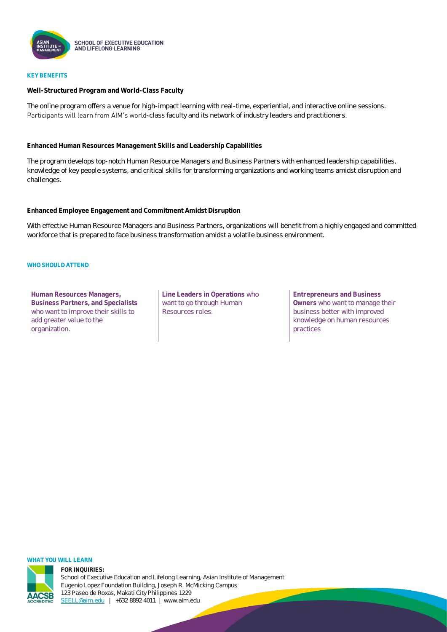

#### **KEY BENEFITS**

**Well-Structured Program and World-Class Faculty**

The online program offers a venue for high-impact learning with real-time, experiential, and interactive online sessions. Participants will learn from AIM's world-class faculty and its network of industry leaders and practitioners.

**Enhanced Human Resources Management Skills and Leadership Capabilities**

The program develops top-notch Human Resource Managers and Business Partners with enhanced leadership capabilities, knowledge of key people systems, and critical skills for transforming organizations and working teams amidst disruption and challenges.

**Enhanced Employee Engagement and Commitment Amidst Disruption**

With effective Human Resource Managers and Business Partners, organizations will benefit from a highly engaged and committed workforce that is prepared to face business transformation amidst a volatile business environment.

#### WHO SHOULD ATTEND

**Human Resources Managers, Business Partners, and Specialists**  who want to improve their skills to add greater value to the organization.

**Line Leaders in Operations** who want to go through Human Resources roles.

**Entrepreneurs and Business Owners** who want to manage their business better with improved knowledge on human resources practices

#### **WHAT YOU WILL LEARN**

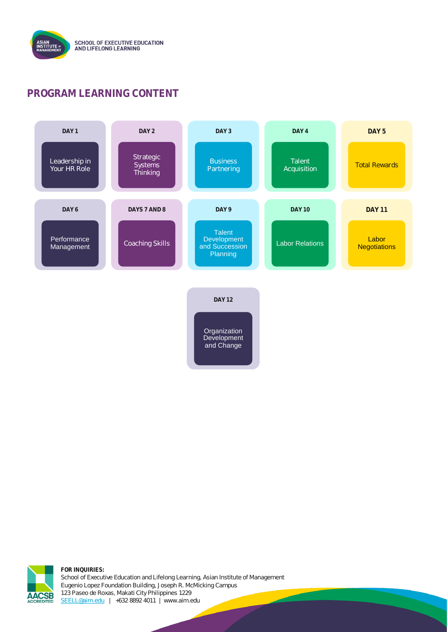

### **PROGRAM LEARNING CONTENT**



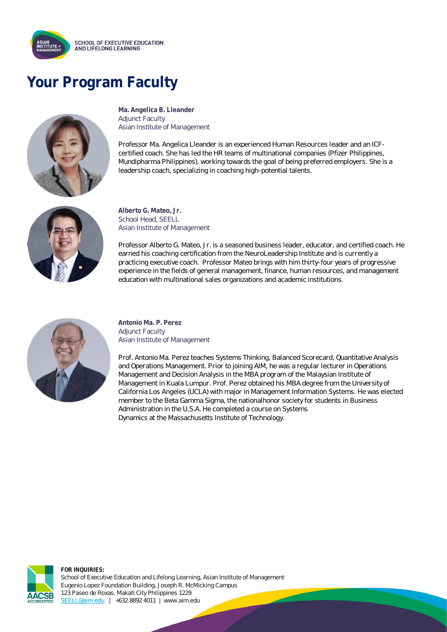

### **Your Program Faculty**



**Ma. Angelica B. Lleander** Adjunct Faculty Asian Institute of Management

Professor Ma. Angelica Lleander is an experienced Human Resources leader and an ICFcertified coach. She has led the HR teams of multinational companies (Pfizer Philippines, Mundipharma Philippines), working towards the goal of being preferred employers. She is a leadership coach, specializing in coaching high-potential talents.



**Alberto G. Mateo, Jr.** School Head, SEELL Asian Institute of Management

Professor Alberto G. Mateo, Jr. is a seasoned business leader, educator, and certified coach. He earned his coaching certification from the NeuroLeadership Institute and is currently a practicing executive coach. Professor Mateo brings with him thirty-four years of progressive experience in the fields of general management, finance, human resources, and management education with multinational sales organizations and academic institutions.



**Antonio Ma. P. Perez** Adjunct Faculty Asian Institute of Management

Prof. Antonio Ma. Perez teaches Systems Thinking, Balanced Scorecard, Quantitative Analysis and Operations Management. Prior to joining AIM, he was a regular lecturer in Operations Management and Decision Analysis in the MBA program of the Malaysian Institute of Management in Kuala Lumpur. Prof. Perez obtained his MBA degree from the University of California Los Angeles (UCLA) with major in Management Information Systems. He was elected member to the Beta Gamma Sigma, the nationalhonor society for students in Business Administration in the U.S.A. He completed a course on Systems Dynamics at the Massachusetts Institute of Technology.